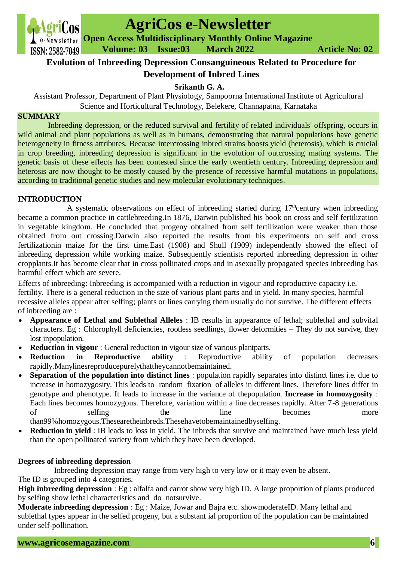

# **AgriCos e-Newsletter**

**Open Access Multidisciplinary Monthly Online Magazine Volume: 03 Issue:03 March 2022 Article No: 02**

# **Evolution of Inbreeding Depression Consanguineous Related to Procedure for Development of Inbred Lines**

# **Srikanth G. A.**

Assistant Professor, Department of Plant Physiology, Sampoorna International Institute of Agricultural Science and Horticultural Technology, Belekere, Channapatna, Karnataka

#### **SUMMARY**

Inbreeding depression, or the reduced survival and fertility of related individuals' offspring, occurs in wild animal and plant populations as well as in humans, demonstrating that natural populations have genetic heterogeneity in fitness attributes. Because intercrossing inbred strains boosts yield (heterosis), which is crucial in crop breeding, inbreeding depression is significant in the evolution of outcrossing mating systems. The genetic basis of these effects has been contested since the early twentieth century. Inbreeding depression and heterosis are now thought to be mostly caused by the presence of recessive harmful mutations in populations, according to traditional genetic studies and new molecular evolutionary techniques.

### **INTRODUCTION**

A systematic observations on effect of inbreeding started during  $17<sup>th</sup>$ century when inbreeding became a common practice in cattlebreeding.In 1876, Darwin published his book on cross and self fertilization in vegetable kingdom. He concluded that progeny obtained from self fertilization were weaker than those obtained from out crossing.Darwin also reported the results from his experiments on self and cross fertilizationin maize for the first time.East (1908) and Shull (1909) independently showed the effect of inbreeding depression while working maize. Subsequently scientists reported inbreeding depression in other cropplants.It has become clear that in cross pollinated crops and in asexually propagated species inbreeding has harmful effect which are severe.

Effects of inbreeding: Inbreeding is accompanied with a reduction in vigour and reproductive capacity i.e. fertility. There is a general reduction in the size of various plant parts and in yield. In many species, harmful recessive alleles appear after selfing; plants or lines carrying them usually do not survive. The different effects of inbreeding are :

- **Appearance of Lethal and Sublethal Alleles** : IB results in appearance of lethal; sublethal and subvital characters. Eg : Chlorophyll deficiencies, rootless seedlings, flower deformities – They do not survive, they lost inpopulation.
- **Reduction in vigour** : General reduction in vigour size of various plantparts.
- **Reduction in Reproductive ability** : Reproductive ability of population decreases rapidly.Manylinesreproducepurelythattheycannotbemaintained.
- **Separation of the population into distinct lines** : population rapidly separates into distinct lines i.e. due to increase in homozygosity. This leads to random fixation of alleles in different lines. Therefore lines differ in genotype and phenotype. It leads to increase in the variance of thepopulation. **Increase in homozygosity** : Each lines becomes homozygous. Therefore, variation within a line decreases rapidly. After 7-8 generations of selfing the line becomes more than99%homozygous.Thesearetheinbreds.Thesehavetobemaintainedbyselfing.
- **Reduction in yield** : IB leads to loss in yield. The inbreds that survive and maintained have much less yield than the open pollinated variety from which they have been developed.

## **Degrees of inbreeding depression**

 Inbreeding depression may range from very high to very low or it may even be absent. The ID is grouped into 4 categories.

**High inbreeding depression** : Eg : alfalfa and carrot show very high ID. A large proportion of plants produced by selfing show lethal characteristics and do notsurvive.

**Moderate inbreeding depression** : Eg : Maize, Jowar and Bajra etc. showmoderateID. Many lethal and sublethal types appear in the selfed progeny, but a substant ial proportion of the population can be maintained under self-pollination.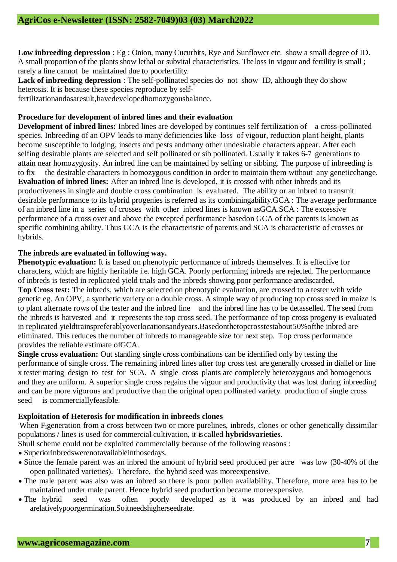**Low inbreeding depression** : Eg : Onion, many Cucurbits, Rye and Sunflower etc. show a small degree of ID. A small proportion of the plants show lethal or subvital characteristics. The loss in vigour and fertility is small ; rarely a line cannot be maintained due to poorfertility.

Lack of inbreeding depression : The self-pollinated species do not show ID, although they do show heterosis. It is because these species reproduce by self-

fertilizationandasaresult,havedevelopedhomozygousbalance.

#### **Procedure for development of inbred lines and their evaluation**

**Development of inbred lines:** Inbred lines are developed by continues self fertilization of a cross-pollinated species. Inbreeding of an OPV leads to many deficiencies like loss of vigour, reduction plant height, plants become susceptible to lodging, insects and pests andmany other undesirable characters appear. After each selfing desirable plants are selected and self pollinated or sib pollinated. Usually it takes 6-7 generations to attain near homozygosity. An inbred line can be maintained by selfing or sibbing. The purpose of inbreeding is to fix the desirable characters in homozygous condition in order to maintain them without any geneticchange. **Evaluation of inbred lines:** After an inbred line is developed, it is crossed with other inbreds and its productiveness in single and double cross combination is evaluated. The ability or an inbred to transmit desirable performance to its hybrid progenies is referred as its combiningability.GCA : The average performance of an inbred line in a series of crosses with other inbred lines is known asGCA.SCA : The excessive performance of a cross over and above the excepted performance basedon GCA of the parents is known as specific combining ability. Thus GCA is the characteristic of parents and SCA is characteristic of crosses or hybrids.

#### **The inbreds are evaluated in following way.**

**Phenotypic evaluation:** It is based on phenotypic performance of inbreds themselves. It is effective for characters, which are highly heritable i.e. high GCA. Poorly performing inbreds are rejected. The performance of inbreds is tested in replicated yield trials and the inbreds showing poor performance arediscarded. **Top Cross test:** The inbreds, which are selected on phenotypic evaluation, are crossed to a tester with wide genetic eg. An OPV, a synthetic variety or a double cross. A simple way of producing top cross seed in maize is to plant alternate rows of the tester and the inbred line and the inbred line has to be detasselled. The seed from the inbreds is harvested and it represents the top cross seed. The performance of top cross progeny is evaluated in replicated yieldtrainspreferablyoverlocationsandyears.Basedonthetopcrosstestabout50%ofthe inbred are eliminated. This reduces the number of inbreds to manageable size for next step. Top cross performance provides the reliable estimate ofGCA.

**Single cross evaluation:** Out standing single cross combinations can be identified only by testing the performance of single cross. The remaining inbred lines after top cross test are generally crossed in diallel or line x tester mating design to test for SCA. A single cross plants are completely heterozygous and homogenous and they are uniform. A superior single cross regains the vigour and productivity that was lost during inbreeding and can be more vigorous and productive than the original open pollinated variety. production of single cross seed is commerciallyfeasible.

## **Exploitation of Heterosis for modification in inbreeds clones**

When F<sub>1</sub>generation from a cross between two or more purelines, inbreds, clones or other genetically dissimilar populations / lines is used for commercial cultivation, it is called **hybridsvarieties**.

Shull scheme could not be exploited commercially because of the following reasons :

- Superiorinbredswerenotavailableinthosedays.
- Since the female parent was an inbred the amount of hybrid seed produced per acre was low (30-40% of the open pollinated varieties). Therefore, the hybrid seed was moreexpensive.
- The male parent was also was an inbred so there is poor pollen availability. Therefore, more area has to be maintained under male parent. Hence hybrid seed production became moreexpensive.
- The hybrid seed was often poorly developed as it was produced by an inbred and had arelativelypoorgermination.Soitneedshigherseedrate.